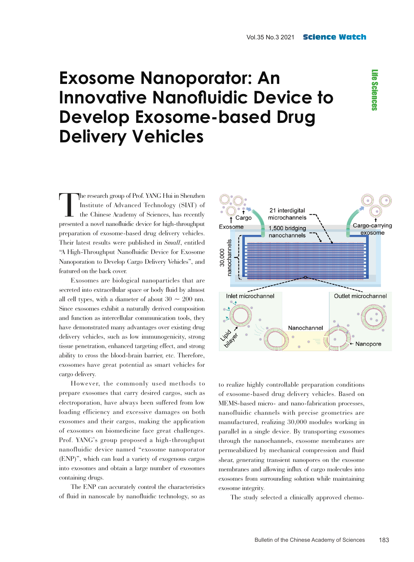**Life Sciences** Life Sciences

## **Exosome Nanoporator: An Innovative Nanofluidic Device to Develop Exosome-based Drug Delivery Vehicles**

The research group of Prof. YANG Hui in Shenzhen Institute of Advanced Technology (SIAT) of the Chinese Academy of Sciences, has recently presented a novel nanofluidic device for high-throughput preparation of exosome-based drug delivery vehicles. Their latest results were published in *Small*, entitled "A High-Throughput Nanofluidic Device for Exosome Nanoporation to Develop Cargo Delivery Vehicles", and featured on the back cover.

Exosomes are biological nanoparticles that are secreted into extracellular space or body fluid by almost all cell types, with a diameter of about  $30 \sim 200$  nm. Since exosomes exhibit a naturally derived composition and function as intercellular communication tools, they have demonstrated many advantages over existing drug delivery vehicles, such as low immunogenicity, strong tissue penetration, enhanced targeting effect, and strong ability to cross the blood-brain barrier, etc. Therefore, exosomes have great potential as smart vehicles for cargo delivery.

However, the commonly used methods to prepare exosomes that carry desired cargos, such as electroporation, have always been suffered from low loading efficiency and excessive damages on both exosomes and their cargos, making the application of exosomes on biomedicine face great challenges. Prof. YANG's group proposed a high-throughput nanofluidic device named "exosome nanoporator (ENP)", which can load a variety of exogenous cargos into exosomes and obtain a large number of exosomes containing drugs.

The ENP can accurately control the characteristics of fluid in nanoscale by nanofluidic technology, so as



to realize highly controllable preparation conditions of exosome-based drug delivery vehicles. Based on MEMS-based micro- and nano-fabrication processes, nanofluidic channels with precise geometries are manufactured, realizing 30,000 modules working in parallel in a single device. By transporting exosomes through the nanochannels, exosome membranes are permeabilized by mechanical compression and fluid shear, generating transient nanopores on the exosome membranes and allowing influx of cargo molecules into exosomes from surrounding solution while maintaining exosome integrity.

The study selected a clinically approved chemo-